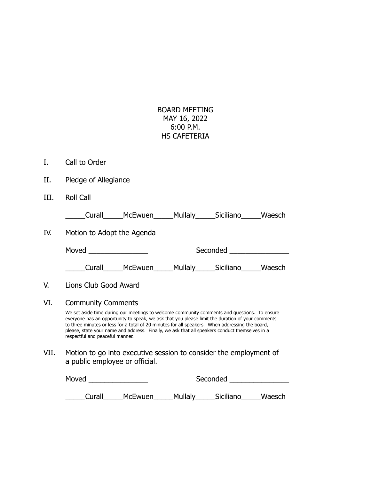## BOARD MEETING MAY 16, 2022 6:00 P.M. HS CAFETERIA

- I. Call to Order
- II. Pledge of Allegiance
- III. Roll Call

| Curall |  | McEwuen | <b>Mullaly</b> | Siciliano | Waesch |
|--------|--|---------|----------------|-----------|--------|
|--------|--|---------|----------------|-----------|--------|

IV. Motion to Adopt the Agenda

| Moved  |         |                | Seconded  |        |
|--------|---------|----------------|-----------|--------|
| Curall | McEwuen | <b>Mullaly</b> | Siciliano | Waesch |

- V. Lions Club Good Award
- VI. Community Comments

We set aside time during our meetings to welcome community comments and questions. To ensure everyone has an opportunity to speak, we ask that you please limit the duration of your comments to three minutes or less for a total of 20 minutes for all speakers. When addressing the board, please, state your name and address. Finally, we ask that all speakers conduct themselves in a respectful and peaceful manner.

VII. Motion to go into executive session to consider the employment of a public employee or official.

| Moved  |                | Seconded |           |        |
|--------|----------------|----------|-----------|--------|
|        |                |          |           |        |
| Curall | <b>McEwuen</b> | Mullaly  | Siciliano | Waesch |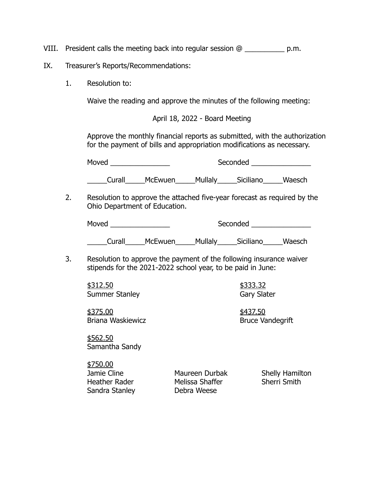VIII. President calls the meeting back into regular session @ \_\_\_\_\_\_\_\_\_\_ p.m.

- IX. Treasurer's Reports/Recommendations:
	- 1. Resolution to:

Waive the reading and approve the minutes of the following meeting:

April 18, 2022 - Board Meeting

Approve the monthly financial reports as submitted, with the authorization for the payment of bills and appropriation modifications as necessary.

Moved \_\_\_\_\_\_\_\_\_\_\_\_\_\_\_ Seconded \_\_\_\_\_\_\_\_\_\_\_\_\_\_\_

\_\_\_\_\_Curall\_\_\_\_\_McEwuen\_\_\_\_\_Mullaly\_\_\_\_\_Siciliano\_\_\_\_\_Waesch

2. Resolution to approve the attached five-year forecast as required by the Ohio Department of Education.

| Moved | Seconded |  |
|-------|----------|--|
|       |          |  |

\_\_\_\_\_Curall\_\_\_\_\_McEwuen\_\_\_\_\_Mullaly\_\_\_\_\_Siciliano\_\_\_\_\_Waesch

3. Resolution to approve the payment of the following insurance waiver stipends for the 2021-2022 school year, to be paid in June:

\$312.50 \$333.32 Summer Stanley

\$375.00 \$437.50 Briana Waskiewicz **Briana Waskiewicz Bruce Vandegrift** 

\$562.50 Samantha Sandy

\$750.00 Jamie Cline Maureen Durbak Shelly Hamilton Heather Rader **Melissa Shaffer** Sherri Smith Sandra Stanley Debra Weese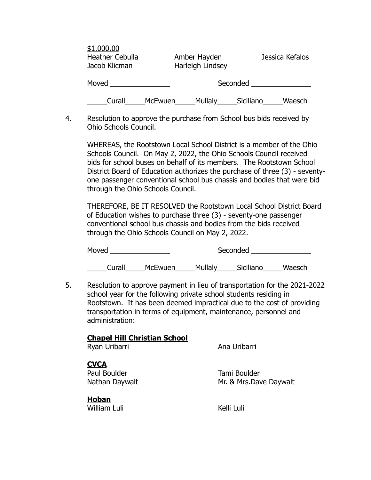| \$1,000.00<br><b>Heather Cebulla</b><br>Jacob Klicman | Amber Hayden<br>Harleigh Lindsey | Jessica Kefalos     |
|-------------------------------------------------------|----------------------------------|---------------------|
| Moved                                                 | Seconded                         |                     |
| Curall                                                | Mullaly<br>McEwuen               | Waesch<br>Siciliano |

4. Resolution to approve the purchase from School bus bids received by Ohio Schools Council.

WHEREAS, the Rootstown Local School District is a member of the Ohio Schools Council. On May 2, 2022, the Ohio Schools Council received bids for school buses on behalf of its members. The Rootstown School District Board of Education authorizes the purchase of three (3) - seventyone passenger conventional school bus chassis and bodies that were bid through the Ohio Schools Council.

THEREFORE, BE IT RESOLVED the Rootstown Local School District Board of Education wishes to purchase three (3) - seventy-one passenger conventional school bus chassis and bodies from the bids received through the Ohio Schools Council on May 2, 2022.

| Moved  |         |         | Seconded  |        |
|--------|---------|---------|-----------|--------|
| Curall | McEwuen | Mullaly | Siciliano | Waesch |

5. Resolution to approve payment in lieu of transportation for the 2021-2022 school year for the following private school students residing in Rootstown. It has been deemed impractical due to the cost of providing transportation in terms of equipment, maintenance, personnel and administration:

## **Chapel Hill Christian School**

Ryan Uribarri **Ana Uribarri** Ana Uribarri

## **CVCA**

Paul Boulder **Tami Boulder** 

Nathan Daywalt Mr. & Mrs.Dave Daywalt

**Hoban** William Luli **Kelli Luli** Kelli Luli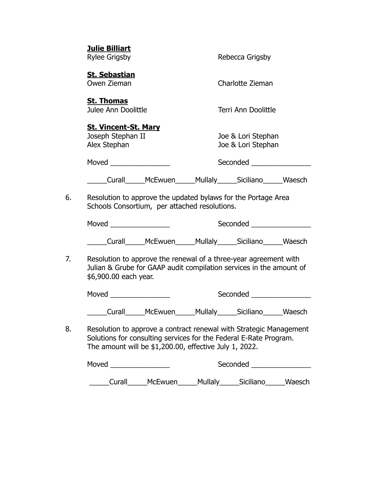|    | <b>Julie Billiart</b><br><b>Rylee Grigsby</b>                                                                                                                                                     |         | Rebecca Grigsby                          |  |
|----|---------------------------------------------------------------------------------------------------------------------------------------------------------------------------------------------------|---------|------------------------------------------|--|
|    | <b>St. Sebastian</b><br>Owen Zieman                                                                                                                                                               |         | Charlotte Zieman                         |  |
|    | <b>St. Thomas</b><br>Julee Ann Doolittle                                                                                                                                                          |         | Terri Ann Doolittle                      |  |
|    | <b>St. Vincent-St. Mary</b><br>Joseph Stephan II<br>Alex Stephan                                                                                                                                  |         | Joe & Lori Stephan<br>Joe & Lori Stephan |  |
|    | Moved <b>Moved Moved</b>                                                                                                                                                                          |         | Seconded _                               |  |
|    | _____Curall______McEwuen______Mullaly______Siciliano______Waesch                                                                                                                                  |         |                                          |  |
| 6. | Resolution to approve the updated bylaws for the Portage Area<br>Schools Consortium, per attached resolutions.                                                                                    |         |                                          |  |
|    |                                                                                                                                                                                                   |         |                                          |  |
|    | ____Curall______McEwuen______Mullaly______Siciliano______Waesch                                                                                                                                   |         |                                          |  |
| 7. | Resolution to approve the renewal of a three-year agreement with<br>Julian & Grube for GAAP audit compilation services in the amount of<br>\$6,900.00 each year.                                  |         |                                          |  |
|    |                                                                                                                                                                                                   |         | Seconded <b>Seconded</b>                 |  |
|    | _Curall______McEwuen______                                                                                                                                                                        |         | Mullaly______Siciliano______Waesch       |  |
| 8. | Resolution to approve a contract renewal with Strategic Management<br>Solutions for consulting services for the Federal E-Rate Program.<br>The amount will be \$1,200.00, effective July 1, 2022. |         |                                          |  |
|    |                                                                                                                                                                                                   |         | Seconded _____________________           |  |
|    | Curall                                                                                                                                                                                            | McEwuen | ___Mullaly_____Siciliano_____Waesch      |  |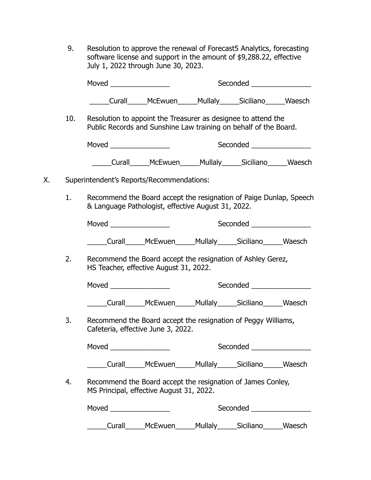9. Resolution to approve the renewal of Forecast5 Analytics, forecasting software license and support in the amount of \$9,288.22, effective July 1, 2022 through June 30, 2023.

|    |     |                                                                                                                                   |                                                                  | Seconded ________________ |  |
|----|-----|-----------------------------------------------------------------------------------------------------------------------------------|------------------------------------------------------------------|---------------------------|--|
|    |     |                                                                                                                                   | ____Curall_____McEwuen_____Mullaly_____Siciliano_____Waesch      |                           |  |
|    | 10. | Resolution to appoint the Treasurer as designee to attend the<br>Public Records and Sunshine Law training on behalf of the Board. |                                                                  |                           |  |
|    |     |                                                                                                                                   |                                                                  | Seconded ________________ |  |
|    |     |                                                                                                                                   | _____Curall______McEwuen______Mullaly______Siciliano______Waesch |                           |  |
| Х. |     | Superintendent's Reports/Recommendations:                                                                                         |                                                                  |                           |  |
|    | 1.  | Recommend the Board accept the resignation of Paige Dunlap, Speech<br>& Language Pathologist, effective August 31, 2022.          |                                                                  |                           |  |
|    |     |                                                                                                                                   |                                                                  | Seconded ________________ |  |
|    |     | Curall______McEwuen______Mullaly______Siciliano_______Waesch                                                                      |                                                                  |                           |  |
|    | 2.  | Recommend the Board accept the resignation of Ashley Gerez,<br>HS Teacher, effective August 31, 2022.                             |                                                                  |                           |  |
|    |     |                                                                                                                                   |                                                                  | Seconded ________________ |  |
|    |     | _____Curall______McEwuen______Mullaly______Siciliano______Waesch                                                                  |                                                                  |                           |  |
|    | 3.  | Recommend the Board accept the resignation of Peggy Williams,<br>Cafeteria, effective June 3, 2022.                               |                                                                  |                           |  |
|    |     | Moved                                                                                                                             |                                                                  | Seconded                  |  |
|    |     |                                                                                                                                   | Curall______McEwuen______Mullaly______Siciliano______Waesch      |                           |  |
|    | 4.  | Recommend the Board accept the resignation of James Conley,<br>MS Principal, effective August 31, 2022.                           |                                                                  |                           |  |
|    |     |                                                                                                                                   |                                                                  | Seconded <u>Seconded</u>  |  |
|    |     |                                                                                                                                   | Curall______McEwuen______Mullaly______Siciliano______Waesch      |                           |  |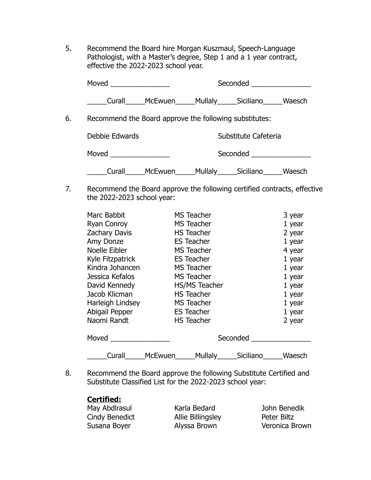5. Recommend the Board hire Morgan Kuszmaul, Speech-Language Pathologist, with a Master's degree, Step 1 and a 1 year contract, effective the 2022-2023 school year.

|    | Moved ______________                                   |                                                              |         | Seconded _________________       |        |
|----|--------------------------------------------------------|--------------------------------------------------------------|---------|----------------------------------|--------|
|    |                                                        | Curall______McEwuen______Mullaly______Siciliano_______Waesch |         |                                  |        |
| 6. | Recommend the Board approve the following substitutes: |                                                              |         |                                  |        |
|    | Debbie Edwards                                         |                                                              |         | Substitute Cafeteria             |        |
|    | Moved                                                  |                                                              |         | Seconded <u>________________</u> |        |
|    | Curall                                                 | McEwuen                                                      | Mullaly | Siciliano                        | Waesch |

7. Recommend the Board approve the following certified contracts, effective the 2022-2023 school year:

| Marc Babbit          |         | <b>MS Teacher</b>    |           | 3 year   |
|----------------------|---------|----------------------|-----------|----------|
| Ryan Conroy          |         | <b>MS Teacher</b>    |           | $1$ year |
| <b>Zachary Davis</b> |         | <b>HS Teacher</b>    |           | 2 year   |
| Amy Donze            |         | <b>ES Teacher</b>    |           | $1$ year |
| Noelle Eibler        |         | <b>MS Teacher</b>    |           | 4 year   |
| Kyle Fitzpatrick     |         | <b>ES Teacher</b>    |           | $1$ year |
| Kindra Johancen      |         | <b>MS Teacher</b>    |           | $1$ year |
| Jessica Kefalos      |         | <b>MS Teacher</b>    |           | 1 year   |
| David Kennedy        |         | <b>HS/MS Teacher</b> |           | 1 year   |
| Jacob Klicman        |         | <b>HS Teacher</b>    |           | $1$ year |
| Harleigh Lindsey     |         | <b>MS Teacher</b>    |           | 1 year   |
| Abigail Pepper       |         | <b>ES Teacher</b>    |           | $1$ year |
| Naomi Randt          |         | <b>HS Teacher</b>    |           | 2 year   |
| Moved                |         |                      | Seconded  |          |
|                      |         |                      |           |          |
| Curall               | McEwuen | Mullaly_____         | Siciliano | Waesch   |

8. Recommend the Board approve the following Substitute Certified and Substitute Classified List for the 2022-2023 school year:

## **Certified:**

May Abdirasul **Karla Bedard** John Benedik Cindy Benedict **Allie Billingsley** Peter Biltz Susana Boyer **Alyssa Brown** Veronica Brown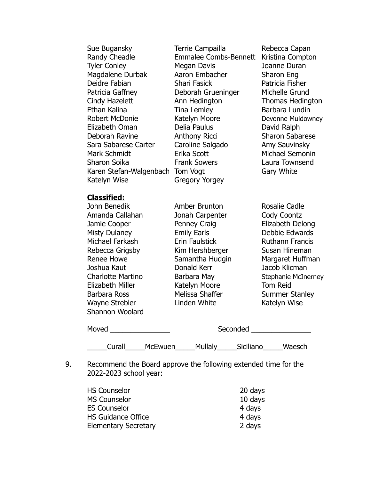| Sue Bugansky<br>Randy Cheadle<br><b>Tyler Conley</b><br>Magdalene Durbak<br>Deidre Fabian<br>Patricia Gaffney<br>Cindy Hazelett<br>Ethan Kalina<br><b>Robert McDonie</b><br>Elizabeth Oman<br>Deborah Ravine<br>Sara Sabarese Carter<br>Mark Schmidt<br>Sharon Soika<br>Karen Stefan-Walgenbach<br>Katelyn Wise | Terrie Campailla<br><b>Emmalee Combs-Bennett</b><br>Megan Davis<br>Aaron Embacher<br>Shari Fasick<br>Deborah Grueninger<br>Ann Hedington<br>Tina Lemley<br>Katelyn Moore<br>Delia Paulus<br><b>Anthony Ricci</b><br>Caroline Salgado<br>Erika Scott<br><b>Frank Sowers</b><br>Tom Vogt<br><b>Gregory Yorgey</b> | Rebecca Capan<br>Kristina Compton<br>Joanne Duran<br>Sharon Eng<br>Patricia Fisher<br>Michelle Grund<br><b>Thomas Hedington</b><br>Barbara Lundin<br>Devonne Muldowney<br>David Ralph<br><b>Sharon Sabarese</b><br>Amy Sauvinsky<br>Michael Semonin<br>Laura Townsend<br>Gary White |
|-----------------------------------------------------------------------------------------------------------------------------------------------------------------------------------------------------------------------------------------------------------------------------------------------------------------|-----------------------------------------------------------------------------------------------------------------------------------------------------------------------------------------------------------------------------------------------------------------------------------------------------------------|-------------------------------------------------------------------------------------------------------------------------------------------------------------------------------------------------------------------------------------------------------------------------------------|
| <b>Classified:</b><br>John Benedik<br>Amanda Callahan<br>Jamie Cooper<br><b>Misty Dulaney</b><br>Michael Farkash<br>Rebecca Grigsby<br><b>Renee Howe</b><br>Joshua Kaut<br><b>Charlotte Martino</b><br>Elizabeth Miller<br>Barbara Ross<br><b>Wayne Strebler</b><br>Shannon Woolard                             | Amber Brunton<br>Jonah Carpenter<br>Penney Craig<br><b>Emily Earls</b><br>Erin Faulstick<br>Kim Hershberger<br>Samantha Hudgin<br>Donald Kerr<br>Barbara May<br>Katelyn Moore<br>Melissa Shaffer<br>Linden White                                                                                                | Rosalie Cadle<br>Cody Coontz<br>Elizabeth Delong<br>Debbie Edwards<br><b>Ruthann Francis</b><br>Susan Hineman<br>Margaret Huffman<br>Jacob Klicman<br><b>Stephanie McInerney</b><br><b>Tom Reid</b><br><b>Summer Stanley</b><br>Katelyn Wise                                        |
| Moved ___________________                                                                                                                                                                                                                                                                                       |                                                                                                                                                                                                                                                                                                                 | Seconded ___________________                                                                                                                                                                                                                                                        |
|                                                                                                                                                                                                                                                                                                                 | ______Curall______McEwuen______Mullaly______Siciliano______Waesch<br>$\mathbf{r}$ and $\mathbf{r}$ and $\mathbf{r}$ and $\mathbf{r}$ and $\mathbf{r}$ and $\mathbf{r}$ and $\mathbf{r}$ and $\mathbf{r}$                                                                                                        |                                                                                                                                                                                                                                                                                     |

9. Recommend the Board approve the following extended time for the 2022-2023 school year:

| <b>HS Counselor</b>         | 20 days |
|-----------------------------|---------|
| <b>MS Counselor</b>         | 10 days |
| <b>ES Counselor</b>         | 4 days  |
| <b>HS Guidance Office</b>   | 4 days  |
| <b>Elementary Secretary</b> | 2 days  |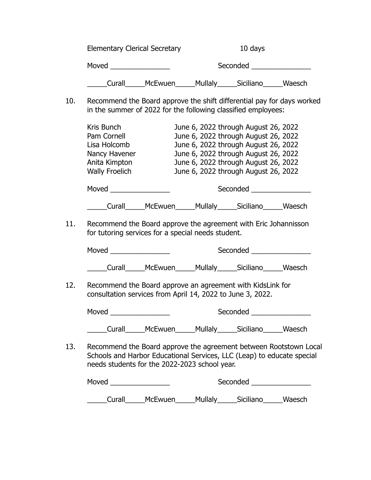| <b>Elementary Clerical Secretary</b> |         | 10 days  |           |        |
|--------------------------------------|---------|----------|-----------|--------|
| Moved                                |         | Seconded |           |        |
| Curall                               | McEwuen | Mullaly  | Siciliano | Waesch |

10. Recommend the Board approve the shift differential pay for days worked in the summer of 2022 for the following classified employees:

|     | Kris Bunch<br>Pam Cornell<br>Lisa Holcomb<br>Nancy Havener<br>Anita Kimpton<br><b>Wally Froelich</b>                                                                                         | June 6, 2022 through August 26, 2022<br>June 6, 2022 through August 26, 2022<br>June 6, 2022 through August 26, 2022<br>June 6, 2022 through August 26, 2022<br>June 6, 2022 through August 26, 2022<br>June 6, 2022 through August 26, 2022 |                             |  |
|-----|----------------------------------------------------------------------------------------------------------------------------------------------------------------------------------------------|----------------------------------------------------------------------------------------------------------------------------------------------------------------------------------------------------------------------------------------------|-----------------------------|--|
|     |                                                                                                                                                                                              |                                                                                                                                                                                                                                              | Seconded __________________ |  |
|     | Curall______McEwuen______Mullaly______Siciliano______Waesch                                                                                                                                  |                                                                                                                                                                                                                                              |                             |  |
| 11. | Recommend the Board approve the agreement with Eric Johannisson<br>for tutoring services for a special needs student.                                                                        |                                                                                                                                                                                                                                              |                             |  |
|     |                                                                                                                                                                                              |                                                                                                                                                                                                                                              | <b>Seconded Seconded</b>    |  |
|     | Curall_____McEwuen_____Mullaly_____Siciliano______Waesch                                                                                                                                     |                                                                                                                                                                                                                                              |                             |  |
| 12. | Recommend the Board approve an agreement with KidsLink for<br>consultation services from April 14, 2022 to June 3, 2022.                                                                     |                                                                                                                                                                                                                                              |                             |  |
|     | Moved $\qquad$                                                                                                                                                                               |                                                                                                                                                                                                                                              | Seconded <b>Seconded</b>    |  |
|     | Curall______McEwuen______Mullaly______Siciliano______Waesch                                                                                                                                  |                                                                                                                                                                                                                                              |                             |  |
| 13. | Recommend the Board approve the agreement between Rootstown Local<br>Schools and Harbor Educational Services, LLC (Leap) to educate special<br>needs students for the 2022-2023 school year. |                                                                                                                                                                                                                                              |                             |  |
|     | Moved                                                                                                                                                                                        |                                                                                                                                                                                                                                              |                             |  |

\_\_\_\_\_Curall\_\_\_\_\_McEwuen\_\_\_\_\_Mullaly\_\_\_\_\_Siciliano\_\_\_\_\_Waesch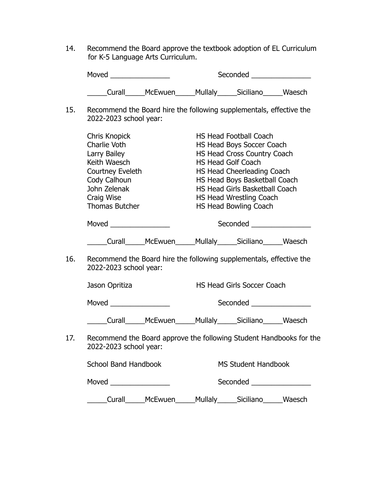14. Recommend the Board approve the textbook adoption of EL Curriculum for K-5 Language Arts Curriculum.

|                           | Moved <b>Example 2019</b>                                                                                                                                |  | Seconded <u>Seconded</u>                                                                                                                                                                                                                                                           |                                   |  |
|---------------------------|----------------------------------------------------------------------------------------------------------------------------------------------------------|--|------------------------------------------------------------------------------------------------------------------------------------------------------------------------------------------------------------------------------------------------------------------------------------|-----------------------------------|--|
|                           | ____Curall______McEwuen______Mullaly______Siciliano______Waesch                                                                                          |  |                                                                                                                                                                                                                                                                                    |                                   |  |
| 15.                       | Recommend the Board hire the following supplementals, effective the<br>2022-2023 school year:                                                            |  |                                                                                                                                                                                                                                                                                    |                                   |  |
|                           | Chris Knopick<br>Charlie Voth<br>Larry Bailey<br>Keith Waesch<br>Courtney Eveleth<br>Cody Calhoun<br>John Zelenak<br>Craig Wise<br><b>Thomas Butcher</b> |  | <b>HS Head Football Coach</b><br>HS Head Boys Soccer Coach<br>HS Head Cross Country Coach<br><b>HS Head Golf Coach</b><br>HS Head Cheerleading Coach<br>HS Head Boys Basketball Coach<br><b>HS Head Girls Basketball Coach</b><br>HS Head Wrestling Coach<br>HS Head Bowling Coach |                                   |  |
|                           |                                                                                                                                                          |  | Seconded _________________                                                                                                                                                                                                                                                         |                                   |  |
|                           | Curall______McEwuen______Mullaly______Siciliano_______Waesch                                                                                             |  |                                                                                                                                                                                                                                                                                    |                                   |  |
| 16.                       | Recommend the Board hire the following supplementals, effective the<br>2022-2023 school year:                                                            |  |                                                                                                                                                                                                                                                                                    |                                   |  |
|                           | Jason Opritiza                                                                                                                                           |  |                                                                                                                                                                                                                                                                                    | <b>HS Head Girls Soccer Coach</b> |  |
|                           | Moved ___________________                                                                                                                                |  | Seconded ________________                                                                                                                                                                                                                                                          |                                   |  |
|                           | ____Curall______McEwuen______Mullaly______Siciliano______Waesch                                                                                          |  |                                                                                                                                                                                                                                                                                    |                                   |  |
| 17.                       | Recommend the Board approve the following Student Handbooks for the<br>2022-2023 school year:                                                            |  |                                                                                                                                                                                                                                                                                    |                                   |  |
|                           | <b>School Band Handbook</b>                                                                                                                              |  |                                                                                                                                                                                                                                                                                    | <b>MS Student Handbook</b>        |  |
| Moved ___________________ |                                                                                                                                                          |  |                                                                                                                                                                                                                                                                                    |                                   |  |
|                           | Curall______McEwuen______Mullaly______Siciliano_______Waesch                                                                                             |  |                                                                                                                                                                                                                                                                                    |                                   |  |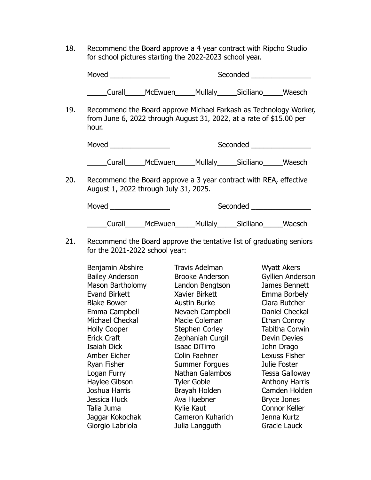18. Recommend the Board approve a 4 year contract with Ripcho Studio for school pictures starting the 2022-2023 school year.

Moved example and seconded the Seconded second second second second second second second second second second second second second second second second second second second second second second second second second second \_\_\_\_\_Curall\_\_\_\_\_McEwuen\_\_\_\_\_Mullaly\_\_\_\_\_Siciliano\_\_\_\_\_Waesch 19. Recommend the Board approve Michael Farkash as Technology Worker, from June 6, 2022 through August 31, 2022, at a rate of \$15.00 per hour.

Moved example and the Seconded Executive Seconded and Seconded Executive Seconded Executive Seconded Executive Seconded Executive Seconded Executive Seconded Executive Seconded Executive Seconded Executive Seconded Executi

\_\_\_\_\_Curall\_\_\_\_\_McEwuen\_\_\_\_\_Mullaly\_\_\_\_\_Siciliano\_\_\_\_\_Waesch

20. Recommend the Board approve a 3 year contract with REA, effective August 1, 2022 through July 31, 2025.

Moved \_\_\_\_\_\_\_\_\_\_\_\_\_\_\_ Seconded \_\_\_\_\_\_\_\_\_\_\_\_\_\_\_ \_\_\_\_\_Curall\_\_\_\_\_McEwuen\_\_\_\_\_Mullaly\_\_\_\_\_Siciliano\_\_\_\_\_Waesch

21. Recommend the Board approve the tentative list of graduating seniors for the 2021-2022 school year:

Benjamin Abshire Travis Adelman Myatt Akers Bailey Anderson Brooke Anderson Gyllien Anderson Mason Bartholomy Landon Bengtson James Bennett Evand Birkett Xavier Birkett Emma Borbely Blake Bower Austin Burke Clara Butcher Emma Campbell Nevaeh Campbell Daniel Checkal Michael Checkal Macie Coleman Ethan Conroy Holly Cooper Stephen Corley Tabitha Corwin Erick Craft Zephaniah Curgil Devin Devies Isaiah Dick Isaac DiTirro John Drago Amber Eicher Colin Faehner Lexuss Fisher Ryan Fisher **Summer Forgues** Julie Foster Logan Furry Nathan Galambos Tessa Galloway Haylee Gibson Tyler Goble **Anthony Harris** Joshua Harris Brayah Holden Camden Holden Jessica Huck Ava Huebner Bryce Jones Talia Juma **Kylie Kaut** Connor Keller Jaggar Kokochak Cameron Kuharich Jenna Kurtz Giorgio Labriola Julia Langguth Gracie Lauck